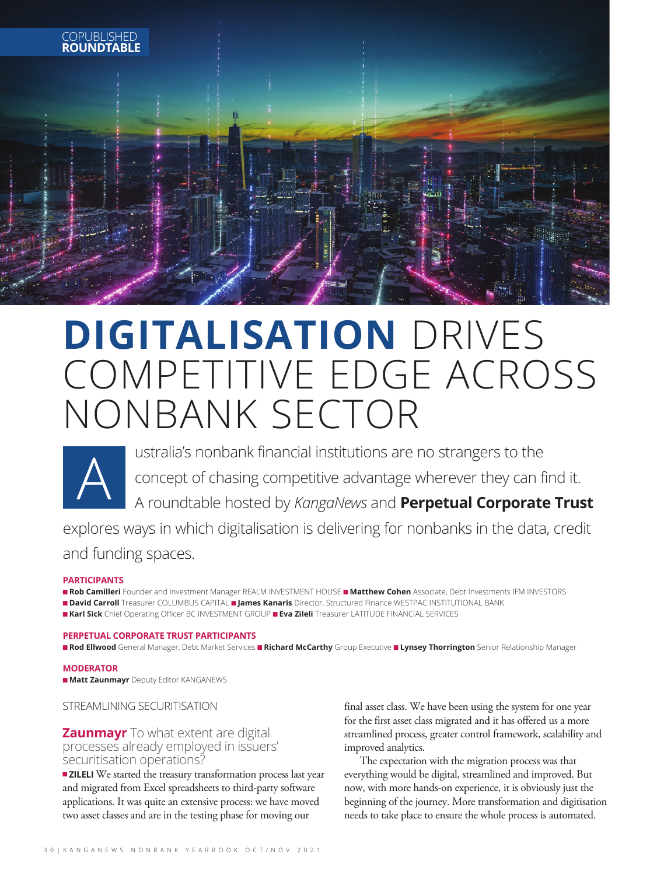

## **DIGITALISATION** DRIVES COMPETITIVE EDGE ACROSS NONBANK SECTOR



ustralia's nonbank financial institutions are no strangers to the concept of chasing competitive advantage wherever they can find it. A roundtable hosted by *KangaNews* and **Perpetual Corporate Trust**

explores ways in which digitalisation is delivering for nonbanks in the data, credit and funding spaces.

### **PARTICIPANTS**

n **Rob Camilleri** Founder and Investment Manager REALM INVESTMENT HOUSE n **Matthew Cohen** Associate, Debt Investments IFM INVESTORS n **David Carroll** Treasurer COLUMBUS CAPITAL n **James Kanaris** Director, Structured Finance WESTPAC INSTITUTIONAL BANK n **Karl Sick** Chief Operating Officer BC INVESTMENT GROUP n **Eva Zileli** Treasurer LATITUDE FINANCIAL SERVICES

### **PERPETUAL CORPORATE TRUST PARTICIPANTS**

n **Rod Ellwood** General Manager, Debt Market Services n **Richard McCarthy** Group Executive n **Lynsey Thorrington** Senior Relationship Manager

### **MODERATOR**

**n Matt Zaunmayr** Deputy Editor KANGANEWS

STREAMLINING SECURITISATION

### **Zaunmayr** To what extent are digital processes already employed in issuers' securitisation operations?

 $\blacksquare$  **ZILELI** We started the treasury transformation process last year and migrated from Excel spreadsheets to third-party software applications. It was quite an extensive process: we have moved two asset classes and are in the testing phase for moving our

final asset class. We have been using the system for one year for the first asset class migrated and it has offered us a more streamlined process, greater control framework, scalability and improved analytics.

The expectation with the migration process was that everything would be digital, streamlined and improved. But now, with more hands-on experience, it is obviously just the beginning of the journey. More transformation and digitisation needs to take place to ensure the whole process is automated.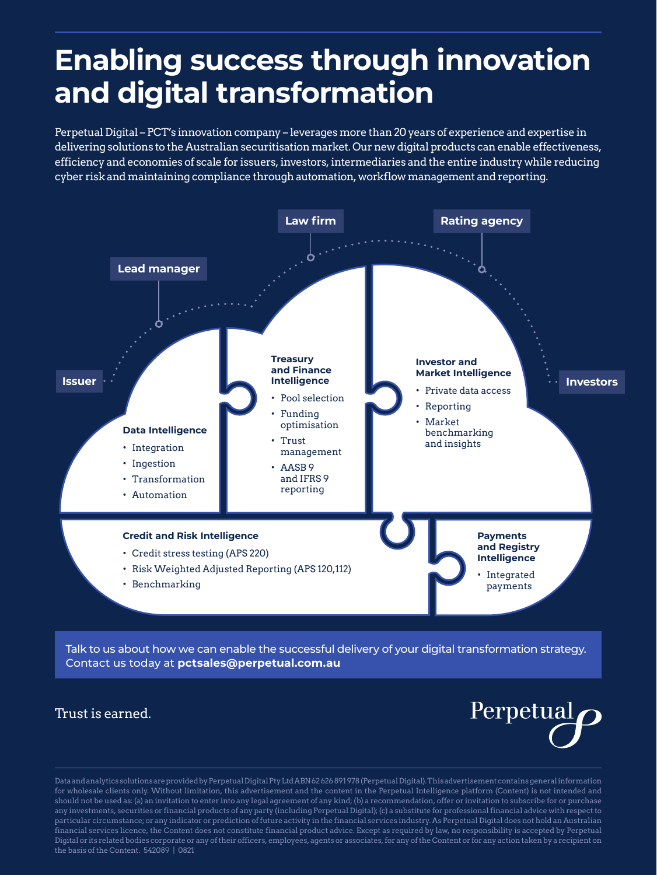### **Enabling success through innovation and digital transformation**

Perpetual Digital – PCT's innovation company – leverages more than 20 years of experience and expertise in delivering solutions to the Australian securitisation market. Our new digital products can enable effectiveness, efficiency and economies of scale for issuers, investors, intermediaries and the entire industry while reducing cyber risk and maintaining compliance through automation, workflow management and reporting.



Talk to us about how we can enable the successful delivery of your digital transformation strategy. Contact us today at **pctsales@perpetual.com.au**

### Trust is earned.



Data and analytics solutions are provided by Perpetual Digital Pty Ltd ABN 62 626 891 978 (Perpetual Digital). This advertisement contains general information for wholesale clients only. Without limitation, this advertisement and the content in the Perpetual Intelligence platform (Content) is not intended and should not be used as: (a) an invitation to enter into any legal agreement of any kind; (b) a recommendation, offer or invitation to subscribe for or purchase any investments, securities or financial products of any party (including Perpetual Digital); (c) a substitute for professional financial advice with respect to particular circumstance; or any indicator or prediction of future activity in the financial services industry. As Perpetual Digital does not hold an Australian financial services licence, the Content does not constitute financial product advice. Except as required by law, no responsibility is accepted by Perpetual Digital or its related bodies corporate or any of their officers, employees, agents or associates, for any of the Content or for any action taken by a recipient on the basis of the Content. 542089 | 0821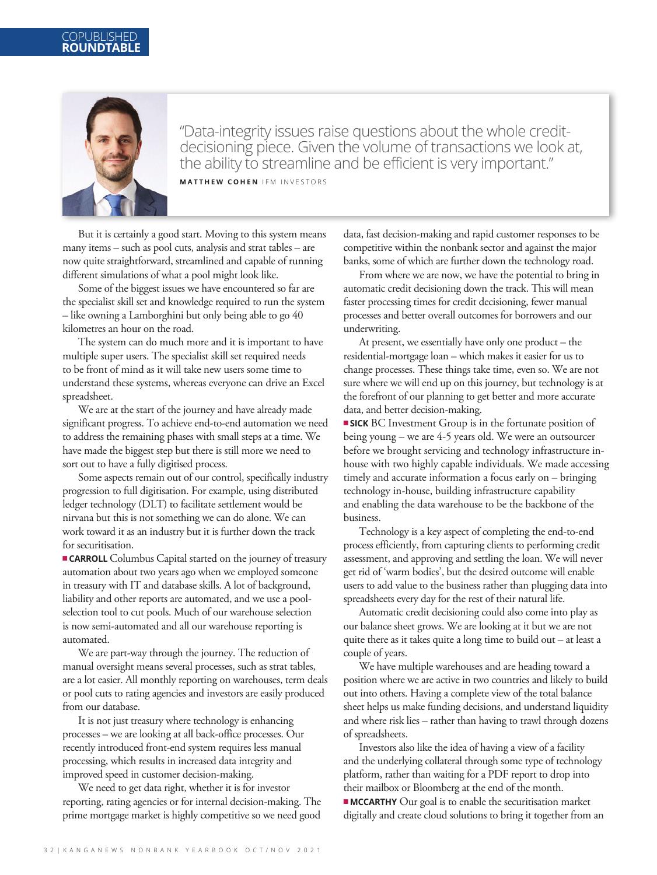

"Data-integrity issues raise questions about the whole creditdecisioning piece. Given the volume of transactions we look at, the ability to streamline and be efficient is very important." **MATTHEW COHEN** IFM INVESTORS

But it is certainly a good start. Moving to this system means many items – such as pool cuts, analysis and strat tables – are now quite straightforward, streamlined and capable of running different simulations of what a pool might look like.

Some of the biggest issues we have encountered so far are the specialist skill set and knowledge required to run the system – like owning a Lamborghini but only being able to go 40 kilometres an hour on the road.

The system can do much more and it is important to have multiple super users. The specialist skill set required needs to be front of mind as it will take new users some time to understand these systems, whereas everyone can drive an Excel spreadsheet.

We are at the start of the journey and have already made significant progress. To achieve end-to-end automation we need to address the remaining phases with small steps at a time. We have made the biggest step but there is still more we need to sort out to have a fully digitised process.

Some aspects remain out of our control, specifically industry progression to full digitisation. For example, using distributed ledger technology (DLT) to facilitate settlement would be nirvana but this is not something we can do alone. We can work toward it as an industry but it is further down the track for securitisation.

<sup>n</sup>**CARROLL** Columbus Capital started on the journey of treasury automation about two years ago when we employed someone in treasury with IT and database skills. A lot of background, liability and other reports are automated, and we use a poolselection tool to cut pools. Much of our warehouse selection is now semi-automated and all our warehouse reporting is automated.

We are part-way through the journey. The reduction of manual oversight means several processes, such as strat tables, are a lot easier. All monthly reporting on warehouses, term deals or pool cuts to rating agencies and investors are easily produced from our database.

It is not just treasury where technology is enhancing processes – we are looking at all back-office processes. Our recently introduced front-end system requires less manual processing, which results in increased data integrity and improved speed in customer decision-making.

We need to get data right, whether it is for investor reporting, rating agencies or for internal decision-making. The prime mortgage market is highly competitive so we need good

data, fast decision-making and rapid customer responses to be competitive within the nonbank sector and against the major banks, some of which are further down the technology road.

From where we are now, we have the potential to bring in automatic credit decisioning down the track. This will mean faster processing times for credit decisioning, fewer manual processes and better overall outcomes for borrowers and our underwriting.

At present, we essentially have only one product – the residential-mortgage loan – which makes it easier for us to change processes. These things take time, even so. We are not sure where we will end up on this journey, but technology is at the forefront of our planning to get better and more accurate data, and better decision-making.

**SICK** BC Investment Group is in the fortunate position of being young – we are 4-5 years old. We were an outsourcer before we brought servicing and technology infrastructure inhouse with two highly capable individuals. We made accessing timely and accurate information a focus early on – bringing technology in-house, building infrastructure capability and enabling the data warehouse to be the backbone of the business.

Technology is a key aspect of completing the end-to-end process efficiently, from capturing clients to performing credit assessment, and approving and settling the loan. We will never get rid of 'warm bodies', but the desired outcome will enable users to add value to the business rather than plugging data into spreadsheets every day for the rest of their natural life.

Automatic credit decisioning could also come into play as our balance sheet grows. We are looking at it but we are not quite there as it takes quite a long time to build out – at least a couple of years.

We have multiple warehouses and are heading toward a position where we are active in two countries and likely to build out into others. Having a complete view of the total balance sheet helps us make funding decisions, and understand liquidity and where risk lies – rather than having to trawl through dozens of spreadsheets.

Investors also like the idea of having a view of a facility and the underlying collateral through some type of technology platform, rather than waiting for a PDF report to drop into their mailbox or Bloomberg at the end of the month.  $\blacksquare$  **MCCARTHY** Our goal is to enable the securitisation market digitally and create cloud solutions to bring it together from an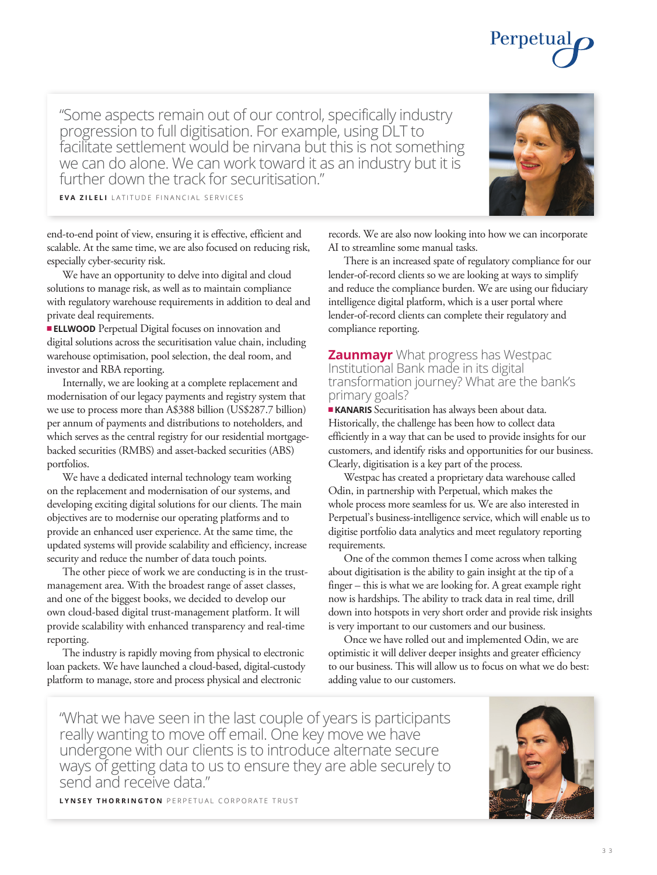3 3

"Some aspects remain out of our control, specifically industry progression to full digitisation. For example, using DLT to facilitate settlement would be nirvana but this is not something we can do alone. We can work toward it as an industry but it is further down the track for securitisation."

**EVA ZILELI** LATITUDE FINANCIAL SERVICES

end-to-end point of view, ensuring it is effective, efficient and scalable. At the same time, we are also focused on reducing risk, especially cyber-security risk.

We have an opportunity to delve into digital and cloud solutions to manage risk, as well as to maintain compliance with regulatory warehouse requirements in addition to deal and private deal requirements.

**ELLWOOD** Perpetual Digital focuses on innovation and digital solutions across the securitisation value chain, including warehouse optimisation, pool selection, the deal room, and investor and RBA reporting.

Internally, we are looking at a complete replacement and modernisation of our legacy payments and registry system that we use to process more than A\$388 billion (US\$287.7 billion) per annum of payments and distributions to noteholders, and which serves as the central registry for our residential mortgagebacked securities (RMBS) and asset-backed securities (ABS) portfolios.

We have a dedicated internal technology team working on the replacement and modernisation of our systems, and developing exciting digital solutions for our clients. The main objectives are to modernise our operating platforms and to provide an enhanced user experience. At the same time, the updated systems will provide scalability and efficiency, increase security and reduce the number of data touch points.

The other piece of work we are conducting is in the trustmanagement area. With the broadest range of asset classes, and one of the biggest books, we decided to develop our own cloud-based digital trust-management platform. It will provide scalability with enhanced transparency and real-time reporting.

The industry is rapidly moving from physical to electronic loan packets. We have launched a cloud-based, digital-custody platform to manage, store and process physical and electronic

records. We are also now looking into how we can incorporate AI to streamline some manual tasks.

There is an increased spate of regulatory compliance for our lender-of-record clients so we are looking at ways to simplify and reduce the compliance burden. We are using our fiduciary intelligence digital platform, which is a user portal where lender-of-record clients can complete their regulatory and compliance reporting.

### **Zaunmayr** What progress has Westpac Institutional Bank made in its digital transformation journey? What are the bank's primary goals?

**KANARIS** Securitisation has always been about data. Historically, the challenge has been how to collect data efficiently in a way that can be used to provide insights for our customers, and identify risks and opportunities for our business. Clearly, digitisation is a key part of the process.

Westpac has created a proprietary data warehouse called Odin, in partnership with Perpetual, which makes the whole process more seamless for us. We are also interested in Perpetual's business-intelligence service, which will enable us to digitise portfolio data analytics and meet regulatory reporting requirements.

One of the common themes I come across when talking about digitisation is the ability to gain insight at the tip of a finger – this is what we are looking for. A great example right now is hardships. The ability to track data in real time, drill down into hotspots in very short order and provide risk insights is very important to our customers and our business.

Once we have rolled out and implemented Odin, we are optimistic it will deliver deeper insights and greater efficiency to our business. This will allow us to focus on what we do best: adding value to our customers.

"What we have seen in the last couple of years is participants really wanting to move off email. One key move we have undergone with our clients is to introduce alternate secure ways of getting data to us to ensure they are able securely to send and receive data."

**LYNSEY THORRINGTON** PERPETUAL CORPORATE TRUST





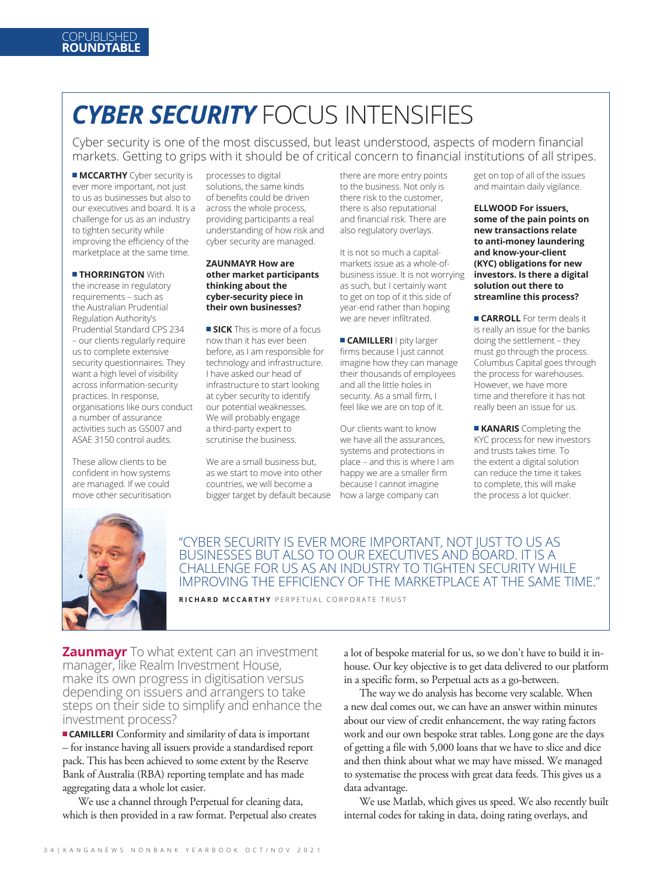### *CYBER SECURITY* FOCUS INTENSIFIES

Cyber security is one of the most discussed, but least understood, aspects of modern financial markets. Getting to grips with it should be of critical concern to financial institutions of all stripes.

**n MCCARTHY** Cyber security is ever more important, not just to us as businesses but also to our executives and board. It is a challenge for us as an industry to tighten security while improving the efficiency of the marketplace at the same time.

### **E THORRINGTON** With

the increase in regulatory requirements – such as the Australian Prudential Regulation Authority's Prudential Standard CPS 234 – our clients regularly require us to complete extensive security questionnaires. They want a high level of visibility across information-security practices. In response, organisations like ours conduct a number of assurance activities such as GS007 and ASAE 3150 control audits.

These allow clients to be confident in how systems are managed. If we could move other securitisation

processes to digital solutions, the same kinds of benefits could be driven across the whole process, providing participants a real understanding of how risk and cyber security are managed.

### **ZAUNMAYR How are other market participants thinking about the cyber-security piece in their own businesses?**

**SICK** This is more of a focus now than it has ever been before, as I am responsible for technology and infrastructure. I have asked our head of infrastructure to start looking at cyber security to identify our potential weaknesses. We will probably engage a third-party expert to scrutinise the business.

We are a small business but. as we start to move into other countries, we will become a bigger target by default because there are more entry points to the business. Not only is there risk to the customer, there is also reputational and financial risk. There are also regulatory overlays.

It is not so much a capitalmarkets issue as a whole-ofbusiness issue. It is not worrying as such, but I certainly want to get on top of it this side of year-end rather than hoping we are never infiltrated.

**E** CAMILLERI I pity larger firms because I just cannot imagine how they can manage their thousands of employees and all the little holes in security. As a small firm, I feel like we are on top of it.

Our clients want to know we have all the assurances, systems and protections in place – and this is where I am happy we are a smaller firm because I cannot imagine how a large company can

get on top of all of the issues and maintain daily vigilance.

**ELLWOOD For issuers, some of the pain points on new transactions relate to anti-money laundering and know-your-client (KYC) obligations for new investors. Is there a digital solution out there to streamline this process?**

**Example 2 CARROLL** For term deals it is really an issue for the banks doing the settlement – they must go through the process. Columbus Capital goes through the process for warehouses. However, we have more time and therefore it has not really been an issue for us.

**KANARIS** Completing the KYC process for new investors and trusts takes time. To the extent a digital solution can reduce the time it takes to complete, this will make the process a lot quicker.



"CYBER SECURITY IS EVER MORE IMPORTANT, NOT JUST TO US AS BUSINESSES BUT ALSO TO OUR EXECUTIVES AND BOARD. IT IS A CHALLENGE FOR US AS AN INDUSTRY TO TIGHTEN SECURITY WHILE IMPROVING THE EFFICIENCY OF THE MARKETPLACE AT THE SAME TIME."

**RICHARD MCCARTHY** PERPETUAL CORPORATE TRUST

**Zaunmayr** To what extent can an investment manager, like Realm Investment House, make its own progress in digitisation versus depending on issuers and arrangers to take steps on their side to simplify and enhance the investment process?

**EXAMILLERI** Conformity and similarity of data is important – for instance having all issuers provide a standardised report pack. This has been achieved to some extent by the Reserve Bank of Australia (RBA) reporting template and has made aggregating data a whole lot easier.

We use a channel through Perpetual for cleaning data, which is then provided in a raw format. Perpetual also creates a lot of bespoke material for us, so we don't have to build it inhouse. Our key objective is to get data delivered to our platform in a specific form, so Perpetual acts as a go-between.

The way we do analysis has become very scalable. When a new deal comes out, we can have an answer within minutes about our view of credit enhancement, the way rating factors work and our own bespoke strat tables. Long gone are the days of getting a file with 5,000 loans that we have to slice and dice and then think about what we may have missed. We managed to systematise the process with great data feeds. This gives us a data advantage.

We use Matlab, which gives us speed. We also recently built internal codes for taking in data, doing rating overlays, and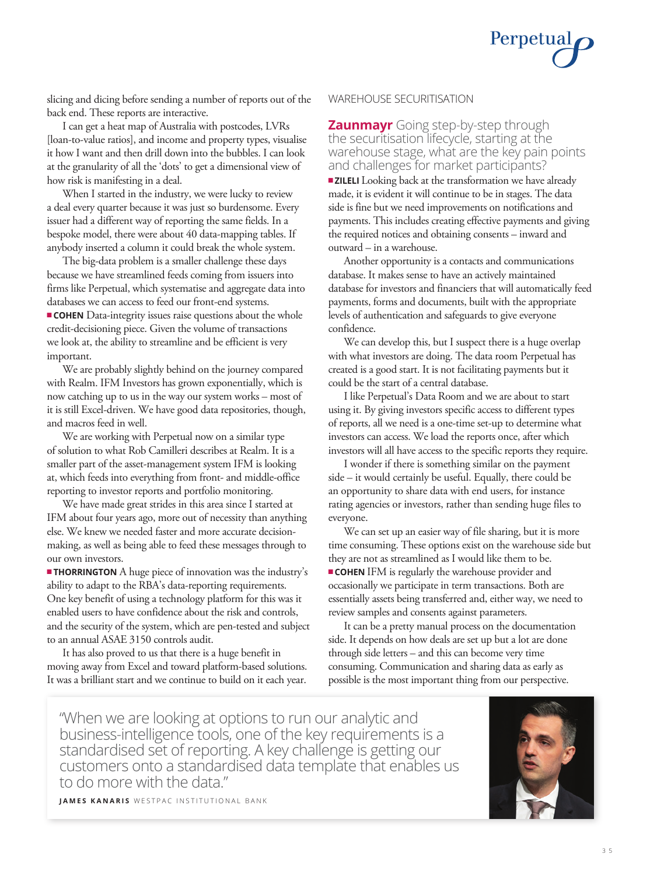

slicing and dicing before sending a number of reports out of the back end. These reports are interactive.

I can get a heat map of Australia with postcodes, LVRs [loan-to-value ratios], and income and property types, visualise it how I want and then drill down into the bubbles. I can look at the granularity of all the 'dots' to get a dimensional view of how risk is manifesting in a deal.

When I started in the industry, we were lucky to review a deal every quarter because it was just so burdensome. Every issuer had a different way of reporting the same fields. In a bespoke model, there were about 40 data-mapping tables. If anybody inserted a column it could break the whole system.

The big-data problem is a smaller challenge these days because we have streamlined feeds coming from issuers into firms like Perpetual, which systematise and aggregate data into databases we can access to feed our front-end systems. **COHEN** Data-integrity issues raise questions about the whole credit-decisioning piece. Given the volume of transactions we look at, the ability to streamline and be efficient is very important.

We are probably slightly behind on the journey compared with Realm. IFM Investors has grown exponentially, which is now catching up to us in the way our system works – most of it is still Excel-driven. We have good data repositories, though, and macros feed in well.

We are working with Perpetual now on a similar type of solution to what Rob Camilleri describes at Realm. It is a smaller part of the asset-management system IFM is looking at, which feeds into everything from front- and middle-office reporting to investor reports and portfolio monitoring.

We have made great strides in this area since I started at IFM about four years ago, more out of necessity than anything else. We knew we needed faster and more accurate decisionmaking, as well as being able to feed these messages through to our own investors.

**THORRINGTON** A huge piece of innovation was the industry's ability to adapt to the RBA's data-reporting requirements. One key benefit of using a technology platform for this was it enabled users to have confidence about the risk and controls, and the security of the system, which are pen-tested and subject to an annual ASAE 3150 controls audit.

It has also proved to us that there is a huge benefit in moving away from Excel and toward platform-based solutions. It was a brilliant start and we continue to build on it each year.

### WAREHOUSE SECURITISATION

outward – in a warehouse.

**Zaunmayr** Going step-by-step through the securitisation lifecycle, starting at the warehouse stage, what are the key pain points and challenges for market participants? **ZILELI** Looking back at the transformation we have already made, it is evident it will continue to be in stages. The data side is fine but we need improvements on notifications and payments. This includes creating effective payments and giving the required notices and obtaining consents – inward and

Another opportunity is a contacts and communications database. It makes sense to have an actively maintained database for investors and financiers that will automatically feed payments, forms and documents, built with the appropriate levels of authentication and safeguards to give everyone confidence.

We can develop this, but I suspect there is a huge overlap with what investors are doing. The data room Perpetual has created is a good start. It is not facilitating payments but it could be the start of a central database.

I like Perpetual's Data Room and we are about to start using it. By giving investors specific access to different types of reports, all we need is a one-time set-up to determine what investors can access. We load the reports once, after which investors will all have access to the specific reports they require.

I wonder if there is something similar on the payment side – it would certainly be useful. Equally, there could be an opportunity to share data with end users, for instance rating agencies or investors, rather than sending huge files to everyone.

We can set up an easier way of file sharing, but it is more time consuming. These options exist on the warehouse side but they are not as streamlined as I would like them to be.

**COHEN** IFM is regularly the warehouse provider and occasionally we participate in term transactions. Both are essentially assets being transferred and, either way, we need to review samples and consents against parameters.

It can be a pretty manual process on the documentation side. It depends on how deals are set up but a lot are done through side letters – and this can become very time consuming. Communication and sharing data as early as possible is the most important thing from our perspective.

"When we are looking at options to run our analytic and business-intelligence tools, one of the key requirements is a standardised set of reporting. A key challenge is getting our customers onto a standardised data template that enables us to do more with the data."



**JAMES KANARIS** WESTPAC INSTITUTIONAL BANK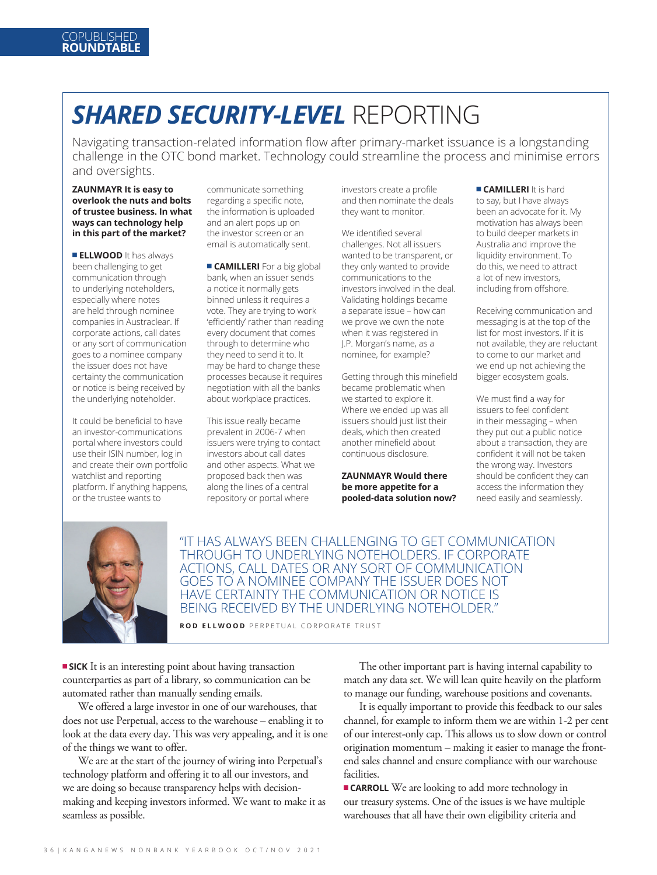### *SHARED SECURITY-LEVEL* REPORTING

Navigating transaction-related information flow after primary-market issuance is a longstanding challenge in the OTC bond market. Technology could streamline the process and minimise errors and oversights.

#### **ZAUNMAYR It is easy to overlook the nuts and bolts of trustee business. In what ways can technology help in this part of the market?**

**ELLWOOD** It has always been challenging to get communication through to underlying noteholders, especially where notes are held through nominee companies in Austraclear. If corporate actions, call dates or any sort of communication goes to a nominee company the issuer does not have certainty the communication or notice is being received by the underlying noteholder.

It could be beneficial to have an investor-communications portal where investors could use their ISIN number, log in and create their own portfolio watchlist and reporting platform. If anything happens, or the trustee wants to

communicate something regarding a specific note, the information is uploaded and an alert pops up on the investor screen or an email is automatically sent.

**E** CAMILLERI For a big global bank, when an issuer sends a notice it normally gets binned unless it requires a vote. They are trying to work 'efficiently' rather than reading every document that comes through to determine who they need to send it to. It may be hard to change these processes because it requires negotiation with all the banks about workplace practices.

This issue really became prevalent in 2006-7 when issuers were trying to contact investors about call dates and other aspects. What we proposed back then was along the lines of a central repository or portal where

investors create a profile and then nominate the deals they want to monitor.

We identified several challenges. Not all issuers wanted to be transparent, or they only wanted to provide communications to the investors involved in the deal. Validating holdings became a separate issue – how can we prove we own the note when it was registered in J.P. Morgan's name, as a nominee, for example?

Getting through this minefield became problematic when we started to explore it. Where we ended up was all issuers should just list their deals, which then created another minefield about continuous disclosure.

#### **ZAUNMAYR Would there be more appetite for a pooled-data solution now?**

**E CAMILLERI** It is hard to say, but I have always been an advocate for it. My motivation has always been to build deeper markets in Australia and improve the liquidity environment. To do this, we need to attract a lot of new investors, including from offshore.

Receiving communication and messaging is at the top of the list for most investors. If it is not available, they are reluctant to come to our market and we end up not achieving the bigger ecosystem goals.

We must find a way for issuers to feel confident in their messaging – when they put out a public notice about a transaction, they are confident it will not be taken the wrong way. Investors should be confident they can access the information they need easily and seamlessly.



"IT HAS ALWAYS BEEN CHALLENGING TO GET COMMUNICATION THROUGH TO UNDERLYING NOTEHOLDERS. IF CORPORATE ACTIONS, CALL DATES OR ANY SORT OF COMMUNICATION GOES TO A NOMINEE COMPANY THE ISSUER DOES NOT HAVE CERTAINTY THE COMMUNICATION OR NOTICE IS BEING RECEIVED BY THE UNDERLYING NOTEHOLDER."

**ROD ELLWOOD** PERPETUAL CORPORATE TRUST

**SICK** It is an interesting point about having transaction counterparties as part of a library, so communication can be automated rather than manually sending emails.

We offered a large investor in one of our warehouses, that does not use Perpetual, access to the warehouse – enabling it to look at the data every day. This was very appealing, and it is one of the things we want to offer.

We are at the start of the journey of wiring into Perpetual's technology platform and offering it to all our investors, and we are doing so because transparency helps with decisionmaking and keeping investors informed. We want to make it as seamless as possible.

The other important part is having internal capability to match any data set. We will lean quite heavily on the platform to manage our funding, warehouse positions and covenants.

It is equally important to provide this feedback to our sales channel, for example to inform them we are within 1-2 per cent of our interest-only cap. This allows us to slow down or control origination momentum – making it easier to manage the frontend sales channel and ensure compliance with our warehouse facilities.

**CARROLL** We are looking to add more technology in our treasury systems. One of the issues is we have multiple warehouses that all have their own eligibility criteria and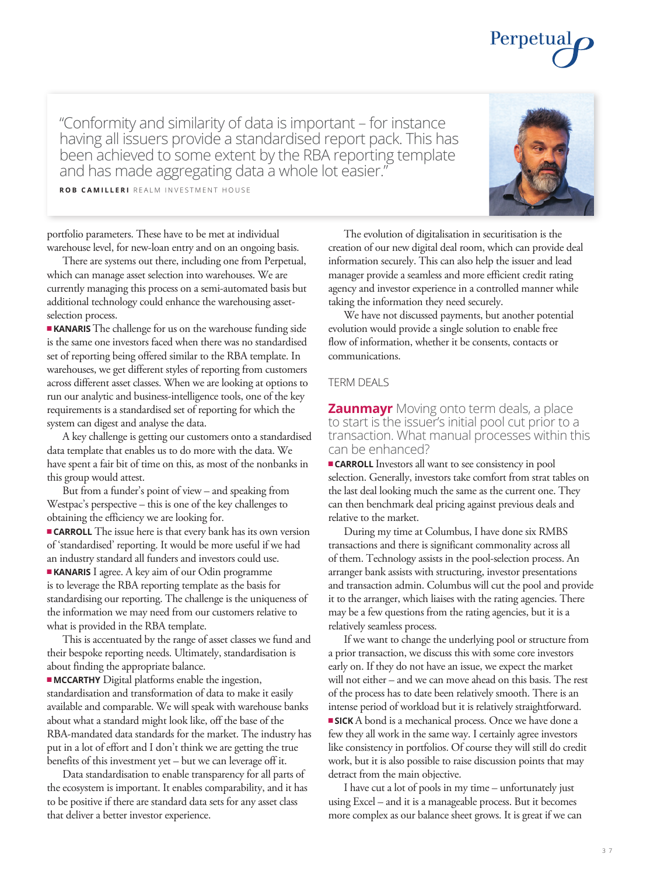3 7

"Conformity and similarity of data is important – for instance having all issuers provide a standardised report pack. This has been achieved to some extent by the RBA reporting template and has made aggregating data a whole lot easier."

**ROB CAMILLERI** REALM INVESTMENT HOUSE

portfolio parameters. These have to be met at individual warehouse level, for new-loan entry and on an ongoing basis.

There are systems out there, including one from Perpetual, which can manage asset selection into warehouses. We are currently managing this process on a semi-automated basis but additional technology could enhance the warehousing assetselection process.

**KANARIS** The challenge for us on the warehouse funding side is the same one investors faced when there was no standardised set of reporting being offered similar to the RBA template. In warehouses, we get different styles of reporting from customers across different asset classes. When we are looking at options to run our analytic and business-intelligence tools, one of the key requirements is a standardised set of reporting for which the system can digest and analyse the data.

A key challenge is getting our customers onto a standardised data template that enables us to do more with the data. We have spent a fair bit of time on this, as most of the nonbanks in this group would attest.

But from a funder's point of view – and speaking from Westpac's perspective – this is one of the key challenges to obtaining the efficiency we are looking for.

**n** CARROLL The issue here is that every bank has its own version of 'standardised' reporting. It would be more useful if we had an industry standard all funders and investors could use. **KANARIS** I agree. A key aim of our Odin programme is to leverage the RBA reporting template as the basis for

standardising our reporting. The challenge is the uniqueness of the information we may need from our customers relative to what is provided in the RBA template.

This is accentuated by the range of asset classes we fund and their bespoke reporting needs. Ultimately, standardisation is about finding the appropriate balance.

 $\blacksquare$  **MCCARTHY** Digital platforms enable the ingestion, standardisation and transformation of data to make it easily available and comparable. We will speak with warehouse banks about what a standard might look like, off the base of the RBA-mandated data standards for the market. The industry has put in a lot of effort and I don't think we are getting the true benefits of this investment yet – but we can leverage off it.

Data standardisation to enable transparency for all parts of the ecosystem is important. It enables comparability, and it has to be positive if there are standard data sets for any asset class that deliver a better investor experience.

The evolution of digitalisation in securitisation is the creation of our new digital deal room, which can provide deal information securely. This can also help the issuer and lead manager provide a seamless and more efficient credit rating agency and investor experience in a controlled manner while taking the information they need securely.

We have not discussed payments, but another potential evolution would provide a single solution to enable free flow of information, whether it be consents, contacts or communications.

### TERM DEALS

**Zaunmayr** Moving onto term deals, a place to start is the issuer's initial pool cut prior to a transaction. What manual processes within this can be enhanced?

**CARROLL** Investors all want to see consistency in pool selection. Generally, investors take comfort from strat tables on the last deal looking much the same as the current one. They can then benchmark deal pricing against previous deals and relative to the market.

During my time at Columbus, I have done six RMBS transactions and there is significant commonality across all of them. Technology assists in the pool-selection process. An arranger bank assists with structuring, investor presentations and transaction admin. Columbus will cut the pool and provide it to the arranger, which liaises with the rating agencies. There may be a few questions from the rating agencies, but it is a relatively seamless process.

If we want to change the underlying pool or structure from a prior transaction, we discuss this with some core investors early on. If they do not have an issue, we expect the market will not either – and we can move ahead on this basis. The rest of the process has to date been relatively smooth. There is an intense period of workload but it is relatively straightforward. **SICK** A bond is a mechanical process. Once we have done a few they all work in the same way. I certainly agree investors like consistency in portfolios. Of course they will still do credit work, but it is also possible to raise discussion points that may detract from the main objective.

I have cut a lot of pools in my time – unfortunately just using Excel – and it is a manageable process. But it becomes more complex as our balance sheet grows. It is great if we can



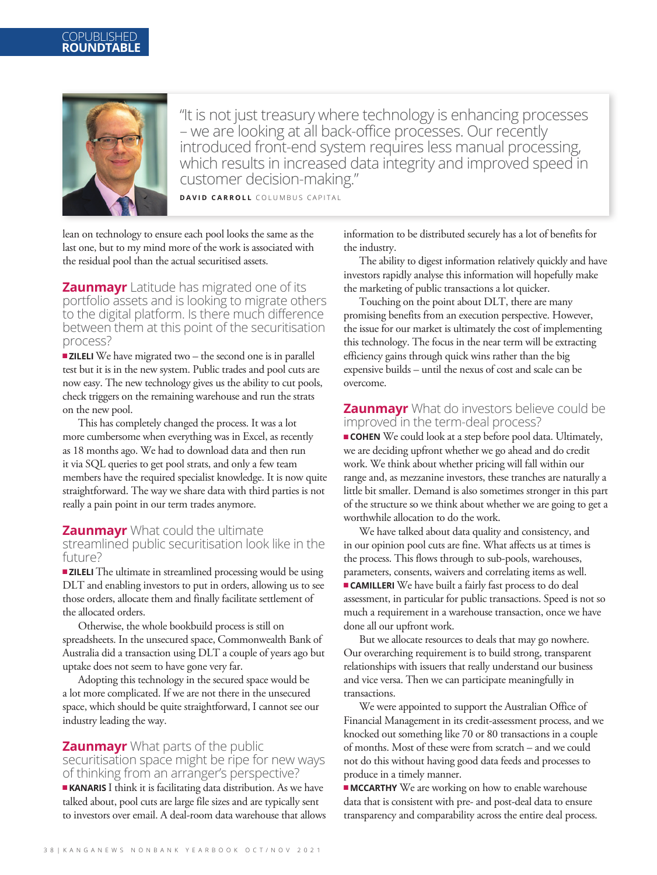### **COPUBLISHED ROUNDTABLE**



"It is not just treasury where technology is enhancing processes – we are looking at all back-office processes. Our recently introduced front-end system requires less manual processing, which results in increased data integrity and improved speed in customer decision-making."

**DAVID CARROLL** COLUMBUS CAPITAL

lean on technology to ensure each pool looks the same as the last one, but to my mind more of the work is associated with the residual pool than the actual securitised assets.

**Zaunmayr** Latitude has migrated one of its portfolio assets and is looking to migrate others to the digital platform. Is there much difference between them at this point of the securitisation process?

**zILELI** We have migrated two – the second one is in parallel test but it is in the new system. Public trades and pool cuts are now easy. The new technology gives us the ability to cut pools, check triggers on the remaining warehouse and run the strats on the new pool.

This has completely changed the process. It was a lot more cumbersome when everything was in Excel, as recently as 18 months ago. We had to download data and then run it via SQL queries to get pool strats, and only a few team members have the required specialist knowledge. It is now quite straightforward. The way we share data with third parties is not really a pain point in our term trades anymore.

### **Zaunmayr** What could the ultimate

streamlined public securitisation look like in the future?

 $\blacksquare$  **ZILELI** The ultimate in streamlined processing would be using DLT and enabling investors to put in orders, allowing us to see those orders, allocate them and finally facilitate settlement of the allocated orders.

Otherwise, the whole bookbuild process is still on spreadsheets. In the unsecured space, Commonwealth Bank of Australia did a transaction using DLT a couple of years ago but uptake does not seem to have gone very far.

Adopting this technology in the secured space would be a lot more complicated. If we are not there in the unsecured space, which should be quite straightforward, I cannot see our industry leading the way.

### **Zaunmayr** What parts of the public

securitisation space might be ripe for new ways of thinking from an arranger's perspective?

**KANARIS** I think it is facilitating data distribution. As we have talked about, pool cuts are large file sizes and are typically sent to investors over email. A deal-room data warehouse that allows information to be distributed securely has a lot of benefits for the industry.

The ability to digest information relatively quickly and have investors rapidly analyse this information will hopefully make the marketing of public transactions a lot quicker.

Touching on the point about DLT, there are many promising benefits from an execution perspective. However, the issue for our market is ultimately the cost of implementing this technology. The focus in the near term will be extracting efficiency gains through quick wins rather than the big expensive builds – until the nexus of cost and scale can be overcome.

### **Zaunmayr** What do investors believe could be improved in the term-deal process?

**COHEN** We could look at a step before pool data. Ultimately, we are deciding upfront whether we go ahead and do credit work. We think about whether pricing will fall within our range and, as mezzanine investors, these tranches are naturally a little bit smaller. Demand is also sometimes stronger in this part of the structure so we think about whether we are going to get a worthwhile allocation to do the work.

We have talked about data quality and consistency, and in our opinion pool cuts are fine. What affects us at times is the process. This flows through to sub-pools, warehouses, parameters, consents, waivers and correlating items as well. **EXAMILLERI** We have built a fairly fast process to do deal assessment, in particular for public transactions. Speed is not so much a requirement in a warehouse transaction, once we have done all our upfront work.

But we allocate resources to deals that may go nowhere. Our overarching requirement is to build strong, transparent relationships with issuers that really understand our business and vice versa. Then we can participate meaningfully in transactions.

We were appointed to support the Australian Office of Financial Management in its credit-assessment process, and we knocked out something like 70 or 80 transactions in a couple of months. Most of these were from scratch – and we could not do this without having good data feeds and processes to produce in a timely manner.

 $\blacksquare$  **MCCARTHY** We are working on how to enable warehouse data that is consistent with pre- and post-deal data to ensure transparency and comparability across the entire deal process.